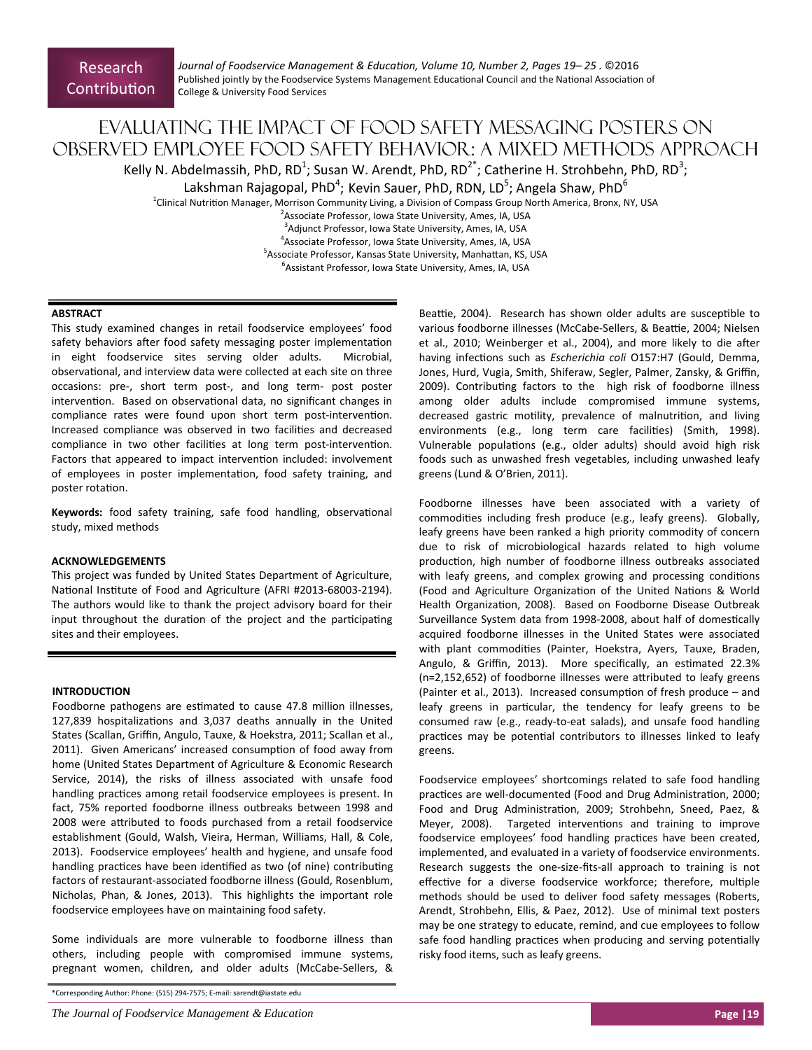*Journal of Foodservice Management & EducaƟon, Volume 10, Number 2, Pages 19– 25 .* ©2016 Published jointly by the Foodservice Systems Management Educational Council and the National Association of College & University Food Services

# Evaluating the impact of food safety messaging posters on observed employee food safety behavior: A mixed methods approach Kelly N. Abdelmassih, PhD, RD<sup>1</sup>; Susan W. Arendt, PhD, RD<sup>2\*</sup>; Catherine H. Strohbehn, PhD, RD<sup>3</sup>;

Lakshman Rajagopal, PhD<sup>4</sup>; Kevin Sauer, PhD, RDN, LD<sup>5</sup>; Angela Shaw, PhD<sup>6</sup>

<sup>1</sup>Clinical Nutrition Manager, Morrison Community Living, a Division of Compass Group North America, Bronx, NY, USA

<sup>2</sup> Associate Professor, Iowa State University, Ames, IA, USA

3 Adjunct Professor, Iowa State University, Ames, IA, USA

4 Associate Professor, Iowa State University, Ames, IA, USA <sup>5</sup> Associate Professor, Kansas State University, Manhattan, KS, USA

6 Assistant Professor, Iowa State University, Ames, IA, USA

## **ABSTRACT**

This study examined changes in retail foodservice employees' food safety behaviors after food safety messaging poster implementation in eight foodservice sites serving older adults. Microbial, observational, and interview data were collected at each site on three occasions: pre‐, short term post‐, and long term‐ post poster intervention. Based on observational data, no significant changes in compliance rates were found upon short term post-intervention. Increased compliance was observed in two facilities and decreased compliance in two other facilities at long term post-intervention. Factors that appeared to impact intervention included: involvement of employees in poster implementation, food safety training, and poster rotation.

**Keywords:** food safety training, safe food handling, observational study, mixed methods

# **ACKNOWLEDGEMENTS**

This project was funded by United States Department of Agriculture, National Institute of Food and Agriculture (AFRI #2013-68003-2194). The authors would like to thank the project advisory board for their input throughout the duration of the project and the participating sites and their employees.

# **INTRODUCTION**

Foodborne pathogens are estimated to cause 47.8 million illnesses, 127,839 hospitalizations and 3,037 deaths annually in the United States (Scallan, Griffin, Angulo, Tauxe, & Hoekstra, 2011; Scallan et al., 2011). Given Americans' increased consumption of food away from home (United States Department of Agriculture & Economic Research Service, 2014), the risks of illness associated with unsafe food handling practices among retail foodservice employees is present. In fact, 75% reported foodborne illness outbreaks between 1998 and 2008 were attributed to foods purchased from a retail foodservice establishment (Gould, Walsh, Vieira, Herman, Williams, Hall, & Cole, 2013). Foodservice employees' health and hygiene, and unsafe food handling practices have been identified as two (of nine) contributing factors of restaurant‐associated foodborne illness (Gould, Rosenblum, Nicholas, Phan, & Jones, 2013). This highlights the important role foodservice employees have on maintaining food safety.

Some individuals are more vulnerable to foodborne illness than others, including people with compromised immune systems, pregnant women, children, and older adults (McCabe‐Sellers, &

\*Corresponding Author: Phone: (515) 294‐7575; E‐mail: sarendt@iastate.edu

*The Journal of Foodservice Management & Education* **<b>Page |19 Page |19 Page |19 Page |19 Page |19 Page |19 Page |19 Page |19 Page |19 Page |19 Page |19 Page |19 Page |19 Page |19 Page |19 Pag** 

Beattie, 2004). Research has shown older adults are susceptible to various foodborne illnesses (McCabe-Sellers, & Beattie, 2004; Nielsen et al., 2010; Weinberger et al., 2004), and more likely to die after having infecƟons such as *Escherichia coli* O157:H7 (Gould, Demma, Jones, Hurd, Vugia, Smith, Shiferaw, Segler, Palmer, Zansky, & Griffin, 2009). Contributing factors to the high risk of foodborne illness among older adults include compromised immune systems, decreased gastric motility, prevalence of malnutrition, and living environments (e.g., long term care facilities) (Smith, 1998). Vulnerable populations (e.g., older adults) should avoid high risk foods such as unwashed fresh vegetables, including unwashed leafy greens (Lund & O'Brien, 2011).

Foodborne illnesses have been associated with a variety of commodities including fresh produce (e.g., leafy greens). Globally, leafy greens have been ranked a high priority commodity of concern due to risk of microbiological hazards related to high volume production, high number of foodborne illness outbreaks associated with leafy greens, and complex growing and processing conditions (Food and Agriculture Organization of the United Nations & World Health Organization, 2008). Based on Foodborne Disease Outbreak Surveillance System data from 1998-2008, about half of domestically acquired foodborne illnesses in the United States were associated with plant commodities (Painter, Hoekstra, Ayers, Tauxe, Braden, Angulo, & Griffin, 2013). More specifically, an estimated 22.3%  $(n=2,152,652)$  of foodborne illnesses were attributed to leafy greens (Painter et al., 2013). Increased consumption of fresh produce  $-$  and leafy greens in particular, the tendency for leafy greens to be consumed raw (e.g., ready-to-eat salads), and unsafe food handling practices may be potential contributors to illnesses linked to leafy greens.

Foodservice employees' shortcomings related to safe food handling practices are well-documented (Food and Drug Administration, 2000; Food and Drug Administration, 2009; Strohbehn, Sneed, Paez, & Meyer, 2008). Targeted interventions and training to improve foodservice employees' food handling practices have been created, implemented, and evaluated in a variety of foodservice environments. Research suggests the one‐size‐fits‐all approach to training is not effective for a diverse foodservice workforce; therefore, multiple methods should be used to deliver food safety messages (Roberts, Arendt, Strohbehn, Ellis, & Paez, 2012). Use of minimal text posters may be one strategy to educate, remind, and cue employees to follow safe food handling practices when producing and serving potentially risky food items, such as leafy greens.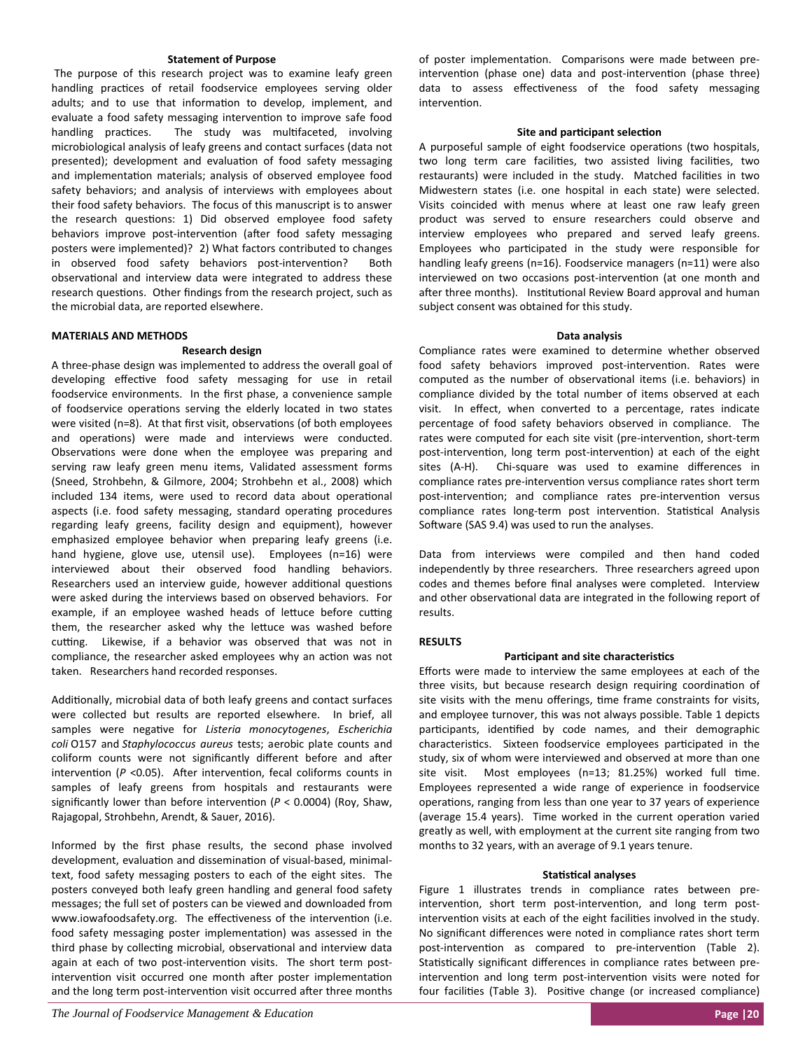## **Statement of Purpose**

The purpose of this research project was to examine leafy green handling practices of retail foodservice employees serving older adults; and to use that information to develop, implement, and evaluate a food safety messaging intervention to improve safe food handling practices. The study was multifaceted, involving microbiological analysis of leafy greens and contact surfaces (data not presented); development and evaluation of food safety messaging and implementation materials; analysis of observed employee food safety behaviors; and analysis of interviews with employees about their food safety behaviors. The focus of this manuscript is to answer the research questions: 1) Did observed employee food safety behaviors improve post-intervention (after food safety messaging posters were implemented)? 2) What factors contributed to changes in observed food safety behaviors post-intervention? Both observational and interview data were integrated to address these research questions. Other findings from the research project, such as the microbial data, are reported elsewhere.

## **MATERIALS AND METHODS**

#### **Research design**

A three‐phase design was implemented to address the overall goal of developing effective food safety messaging for use in retail foodservice environments. In the first phase, a convenience sample of foodservice operations serving the elderly located in two states were visited (n=8). At that first visit, observations (of both employees and operations) were made and interviews were conducted. Observations were done when the employee was preparing and serving raw leafy green menu items, Validated assessment forms (Sneed, Strohbehn, & Gilmore, 2004; Strohbehn et al., 2008) which included 134 items, were used to record data about operational aspects (i.e. food safety messaging, standard operating procedures regarding leafy greens, facility design and equipment), however emphasized employee behavior when preparing leafy greens (i.e. hand hygiene, glove use, utensil use). Employees (n=16) were interviewed about their observed food handling behaviors. Researchers used an interview guide, however additional questions were asked during the interviews based on observed behaviors. For example, if an employee washed heads of lettuce before cutting them, the researcher asked why the lettuce was washed before cutting. Likewise, if a behavior was observed that was not in compliance, the researcher asked employees why an action was not taken. Researchers hand recorded responses.

Additionally, microbial data of both leafy greens and contact surfaces were collected but results are reported elsewhere. In brief, all samples were negaƟve for *Listeria monocytogenes*, *Escherichia coli* O157 and *Staphylococcus aureus* tests; aerobic plate counts and coliform counts were not significantly different before and after intervention ( $P$  <0.05). After intervention, fecal coliforms counts in samples of leafy greens from hospitals and restaurants were significantly lower than before intervention ( $P < 0.0004$ ) (Roy, Shaw, Rajagopal, Strohbehn, Arendt, & Sauer, 2016).

Informed by the first phase results, the second phase involved development, evaluation and dissemination of visual-based, minimaltext, food safety messaging posters to each of the eight sites. The posters conveyed both leafy green handling and general food safety messages; the full set of posters can be viewed and downloaded from www.iowafoodsafety.org. The effectiveness of the intervention (i.e. food safety messaging poster implementation) was assessed in the third phase by collecting microbial, observational and interview data again at each of two post-intervention visits. The short term postintervention visit occurred one month after poster implementation and the long term post-intervention visit occurred after three months of poster implementation. Comparisons were made between preintervention (phase one) data and post-intervention (phase three) data to assess effectiveness of the food safety messaging intervention

#### **Site and participant selection**

A purposeful sample of eight foodservice operations (two hospitals, two long term care facilities, two assisted living facilities, two restaurants) were included in the study. Matched facilities in two Midwestern states (i.e. one hospital in each state) were selected. Visits coincided with menus where at least one raw leafy green product was served to ensure researchers could observe and interview employees who prepared and served leafy greens. Employees who participated in the study were responsible for handling leafy greens (n=16). Foodservice managers (n=11) were also interviewed on two occasions post-intervention (at one month and after three months). Institutional Review Board approval and human subject consent was obtained for this study.

#### **Data analysis**

Compliance rates were examined to determine whether observed food safety behaviors improved post-intervention. Rates were computed as the number of observational items (i.e. behaviors) in compliance divided by the total number of items observed at each visit. In effect, when converted to a percentage, rates indicate percentage of food safety behaviors observed in compliance. The rates were computed for each site visit (pre-intervention, short-term post-intervention, long term post-intervention) at each of the eight sites (A-H). Chi-square was used to examine differences in compliance rates pre-intervention versus compliance rates short term post-intervention; and compliance rates pre-intervention versus compliance rates long-term post intervention. Statistical Analysis Software (SAS 9.4) was used to run the analyses.

Data from interviews were compiled and then hand coded independently by three researchers. Three researchers agreed upon codes and themes before final analyses were completed. Interview and other observational data are integrated in the following report of results.

## **RESULTS**

#### **Participant and site characteristics**

Efforts were made to interview the same employees at each of the three visits, but because research design requiring coordination of site visits with the menu offerings, time frame constraints for visits, and employee turnover, this was not always possible. Table 1 depicts participants, identified by code names, and their demographic characteristics. Sixteen foodservice employees participated in the study, six of whom were interviewed and observed at more than one site visit. Most employees (n=13; 81.25%) worked full time. Employees represented a wide range of experience in foodservice operations, ranging from less than one year to 37 years of experience (average 15.4 years). Time worked in the current operation varied greatly as well, with employment at the current site ranging from two months to 32 years, with an average of 9.1 years tenure.

#### **StaƟsƟcal analyses**

Figure 1 illustrates trends in compliance rates between pre‐ intervention, short term post-intervention, and long term postintervention visits at each of the eight facilities involved in the study. No significant differences were noted in compliance rates short term post-intervention as compared to pre-intervention (Table 2). Statistically significant differences in compliance rates between preintervention and long term post-intervention visits were noted for four facilities (Table 3). Positive change (or increased compliance)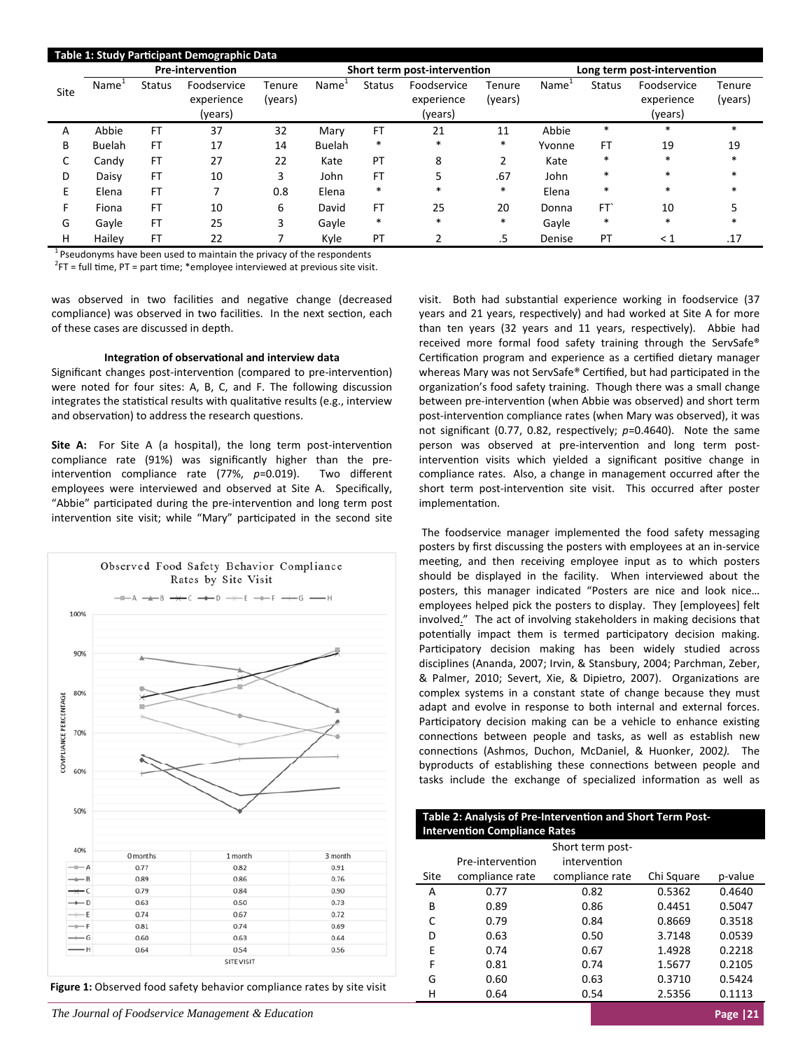| Table 1: Study Participant Demographic Data |                   |               |                                      |                              |                   |               |                                      |                             |                   |                 |                                      |                   |
|---------------------------------------------|-------------------|---------------|--------------------------------------|------------------------------|-------------------|---------------|--------------------------------------|-----------------------------|-------------------|-----------------|--------------------------------------|-------------------|
| <b>Pre-intervention</b>                     |                   |               |                                      | Short term post-intervention |                   |               |                                      | Long term post-intervention |                   |                 |                                      |                   |
| Site                                        | Name <sup>1</sup> | <b>Status</b> | Foodservice<br>experience<br>(years) | Tenure<br>(years)            | Name <sup>1</sup> | <b>Status</b> | Foodservice<br>experience<br>(years) | Tenure<br>(years)           | Name <sup>®</sup> | <b>Status</b>   | Foodservice<br>experience<br>(years) | Tenure<br>(years) |
| A                                           | Abbie             | <b>FT</b>     | 37                                   | 32                           | Mary              | FT            | 21                                   | 11                          | Abbie             | *               | $\ast$                               | *                 |
| В                                           | <b>Buelah</b>     | FТ            | 17                                   | 14                           | <b>Buelah</b>     | $\ast$        | $*$                                  | $\ast$                      | Yvonne            | FT              | 19                                   | 19                |
| C                                           | Candy             | FT            | 27                                   | 22                           | Kate              | PT            | 8                                    | C.<br>∠                     | Kate              | $\ast$          | *                                    | $\ast$            |
| D                                           | Daisy             | FT            | 10                                   | 3                            | John              | <b>FT</b>     | 5                                    | .67                         | John              | *               | *                                    | *                 |
| E                                           | Elena             | FT            | ⇁                                    | 0.8                          | Elena             | $\ast$        | $*$                                  | $\ast$                      | Elena             | $\ast$          | *                                    | *                 |
| F.                                          | Fiona             | FT            | 10                                   | 6                            | David             | <b>FT</b>     | 25                                   | 20                          | Donna             | FT <sup>'</sup> | 10                                   |                   |
| G                                           | Gayle             | <b>FT</b>     | 25                                   | 3                            | Gayle             | $\ast$        | $\ast$                               | $\ast$                      | Gayle             | $\ast$          | $\ast$                               | *                 |
| н                                           | Hailev            | FT            | 22                                   |                              | Kyle              | PT            |                                      | .5                          | Denise            | PT              | $\leq 1$                             | .17               |

 $1$  Pseudonyms have been used to maintain the privacy of the respondents

 $2$ FT = full time, PT = part time; \*employee interviewed at previous site visit.

was observed in two facilities and negative change (decreased compliance) was observed in two facilities. In the next section, each of these cases are discussed in depth.

## **IntegraƟon of observaƟonal and interview data**

Significant changes post-intervention (compared to pre-intervention) were noted for four sites: A, B, C, and F. The following discussion integrates the statistical results with qualitative results (e.g., interview and observation) to address the research questions.

**Site A:** For Site A (a hospital), the long term post-intervention compliance rate (91%) was significantly higher than the pre‐ intervention compliance rate (77%, p=0.019). Two different employees were interviewed and observed at Site A. Specifically, "Abbie" participated during the pre-intervention and long term post intervention site visit; while "Mary" participated in the second site



**Figure 1:** Observed food safety behavior compliance rates by site visit

*The Journal of Foodservice Management & Education* **Page |21 <b>Page |21 Page |21 Page |21 Page |21 Page |21 Page |21 Page |21 Page |21 Page |21 Page |21 Page |21 Page |21 Page |21 Page |21 Page** 

visit. Both had substantial experience working in foodservice (37 years and 21 years, respectively) and had worked at Site A for more than ten years (32 years and 11 years, respectively). Abbie had received more formal food safety training through the ServSafe® Certification program and experience as a certified dietary manager whereas Mary was not ServSafe® Certified, but had participated in the organization's food safety training. Though there was a small change between pre-intervention (when Abbie was observed) and short term post-intervention compliance rates (when Mary was observed), it was not significant (0.77, 0.82, respectively;  $p=0.4640$ ). Note the same person was observed at pre-intervention and long term postintervention visits which yielded a significant positive change in compliance rates. Also, a change in management occurred after the short term post-intervention site visit. This occurred after poster implementation.

The foodservice manager implemented the food safety messaging posters by first discussing the posters with employees at an in‐service meeting, and then receiving employee input as to which posters should be displayed in the facility. When interviewed about the posters, this manager indicated "Posters are nice and look nice… employees helped pick the posters to display. They [employees] felt involved." The act of involving stakeholders in making decisions that potentially impact them is termed participatory decision making. Participatory decision making has been widely studied across disciplines (Ananda, 2007; Irvin, & Stansbury, 2004; Parchman, Zeber, & Palmer, 2010; Severt, Xie, & Dipietro, 2007). Organizations are complex systems in a constant state of change because they must adapt and evolve in response to both internal and external forces. Participatory decision making can be a vehicle to enhance existing connections between people and tasks, as well as establish new connections (Ashmos, Duchon, McDaniel, & Huonker, 2002). The byproducts of establishing these connections between people and tasks include the exchange of specialized information as well as

| Table 2: Analysis of Pre-Intervention and Short Term Post- |
|------------------------------------------------------------|
| <b>Intervention Compliance Rates</b>                       |
|                                                            |

|      |                  | Short term post- |            |         |
|------|------------------|------------------|------------|---------|
|      | Pre-intervention | intervention     |            |         |
| Site | compliance rate  | compliance rate  | Chi Square | p-value |
| Α    | 0.77             | 0.82             | 0.5362     | 0.4640  |
| B    | 0.89             | 0.86             | 0.4451     | 0.5047  |
| C    | 0.79             | 0.84             | 0.8669     | 0.3518  |
| D    | 0.63             | 0.50             | 3.7148     | 0.0539  |
| E    | 0.74             | 0.67             | 1.4928     | 0.2218  |
| F    | 0.81             | 0.74             | 1.5677     | 0.2105  |
| G    | 0.60             | 0.63             | 0.3710     | 0.5424  |
| н    | 0.64             | 0.54             | 2.5356     | 0.1113  |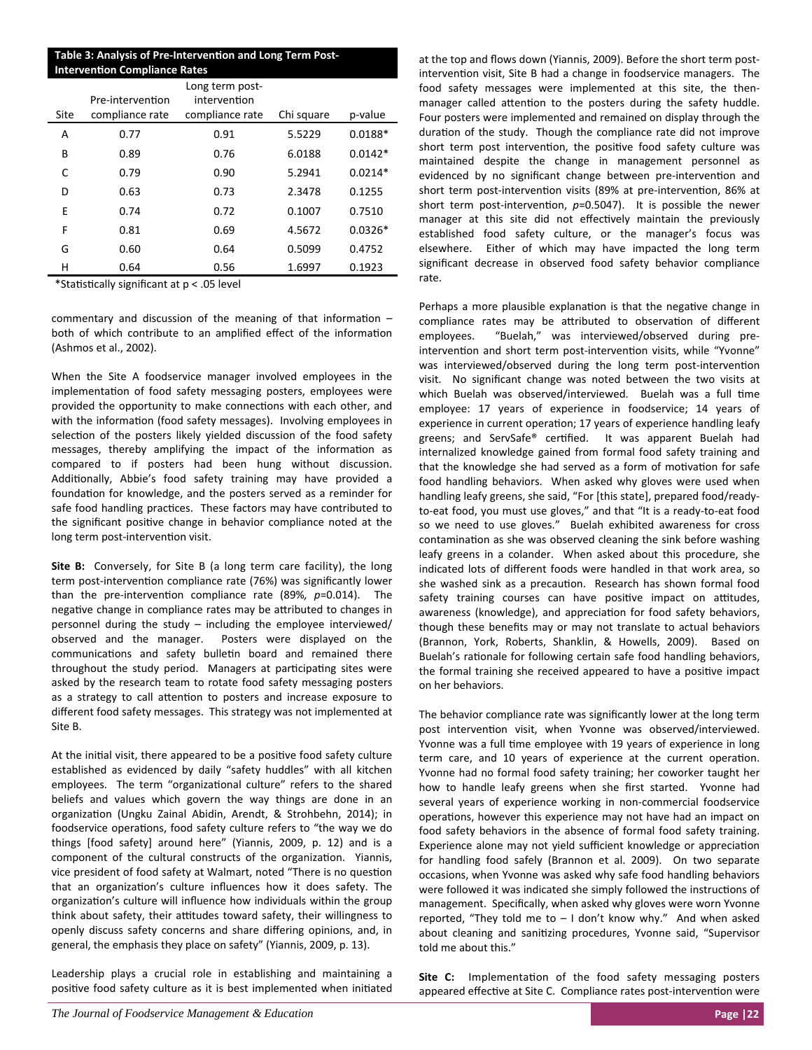# **Table 3: Analysis of Pre‐IntervenƟon and Long Term Post‐ Intervention Compliance Rates**

| Site | Pre-intervention<br>compliance rate | Long term post-<br>intervention<br>compliance rate | Chi square | p-value   |
|------|-------------------------------------|----------------------------------------------------|------------|-----------|
| A    | 0.77                                | 0.91                                               | 5.5229     | $0.0188*$ |
| B    | 0.89                                | 0.76                                               | 6.0188     | $0.0142*$ |
| C    | 0.79                                | 0.90                                               | 5.2941     | $0.0214*$ |
| D    | 0.63                                | 0.73                                               | 2.3478     | 0.1255    |
| E    | 0.74                                | 0.72                                               | 0.1007     | 0.7510    |
| F    | 0.81                                | 0.69                                               | 4.5672     | $0.0326*$ |
| G    | 0.60                                | 0.64                                               | 0.5099     | 0.4752    |
| н    | 0.64                                | 0.56                                               | 1.6997     | 0.1923    |

\*Statistically significant at p < .05 level

commentary and discussion of the meaning of that information  $$ both of which contribute to an amplified effect of the information (Ashmos et al., 2002).

When the Site A foodservice manager involved employees in the implementation of food safety messaging posters, employees were provided the opportunity to make connections with each other, and with the information (food safety messages). Involving employees in selection of the posters likely yielded discussion of the food safety messages, thereby amplifying the impact of the information as compared to if posters had been hung without discussion. Additionally, Abbie's food safety training may have provided a foundation for knowledge, and the posters served as a reminder for safe food handling practices. These factors may have contributed to the significant positive change in behavior compliance noted at the long term post-intervention visit.

**Site B:** Conversely, for Site B (a long term care facility), the long term post-intervention compliance rate (76%) was significantly lower than the pre‐intervenƟon compliance rate (89%*, p*=0.014). The negative change in compliance rates may be attributed to changes in personnel during the study – including the employee interviewed/ observed and the manager. Posters were displayed on the communications and safety bulletin board and remained there throughout the study period. Managers at participating sites were asked by the research team to rotate food safety messaging posters as a strategy to call attention to posters and increase exposure to different food safety messages. This strategy was not implemented at Site B.

At the initial visit, there appeared to be a positive food safety culture established as evidenced by daily "safety huddles" with all kitchen employees. The term "organizational culture" refers to the shared beliefs and values which govern the way things are done in an organization (Ungku Zainal Abidin, Arendt, & Strohbehn, 2014); in foodservice operations, food safety culture refers to "the way we do things [food safety] around here" (Yiannis, 2009, p. 12) and is a component of the cultural constructs of the organization. Yiannis, vice president of food safety at Walmart, noted "There is no question that an organization's culture influences how it does safety. The organization's culture will influence how individuals within the group think about safety, their attitudes toward safety, their willingness to openly discuss safety concerns and share differing opinions, and, in general, the emphasis they place on safety" (Yiannis, 2009, p. 13).

Leadership plays a crucial role in establishing and maintaining a positive food safety culture as it is best implemented when initiated at the top and flows down (Yiannis, 2009). Before the short term post‐ intervention visit, Site B had a change in foodservice managers. The food safety messages were implemented at this site, the then‐ manager called attention to the posters during the safety huddle. Four posters were implemented and remained on display through the duration of the study. Though the compliance rate did not improve short term post intervention, the positive food safety culture was maintained despite the change in management personnel as evidenced by no significant change between pre-intervention and short term post-intervention visits (89% at pre-intervention, 86% at short term post-intervention,  $p=0.5047$ ). It is possible the newer manager at this site did not effectively maintain the previously established food safety culture, or the manager's focus was elsewhere. Either of which may have impacted the long term significant decrease in observed food safety behavior compliance rate.

Perhaps a more plausible explanation is that the negative change in compliance rates may be attributed to observation of different employees. "Buelah," was interviewed/observed during pre‐ intervention and short term post-intervention visits, while "Yvonne" was interviewed/observed during the long term post-intervention visit. No significant change was noted between the two visits at which Buelah was observed/interviewed. Buelah was a full time employee: 17 years of experience in foodservice; 14 years of experience in current operation; 17 years of experience handling leafy greens; and ServSafe® certified. It was apparent Buelah had internalized knowledge gained from formal food safety training and that the knowledge she had served as a form of motivation for safe food handling behaviors. When asked why gloves were used when handling leafy greens, she said, "For [this state], prepared food/ready‐ to-eat food, you must use gloves," and that "It is a ready-to-eat food so we need to use gloves." Buelah exhibited awareness for cross contamination as she was observed cleaning the sink before washing leafy greens in a colander. When asked about this procedure, she indicated lots of different foods were handled in that work area, so she washed sink as a precaution. Research has shown formal food safety training courses can have positive impact on attitudes, awareness (knowledge), and appreciation for food safety behaviors, though these benefits may or may not translate to actual behaviors (Brannon, York, Roberts, Shanklin, & Howells, 2009). Based on Buelah's rationale for following certain safe food handling behaviors, the formal training she received appeared to have a positive impact on her behaviors.

The behavior compliance rate was significantly lower at the long term post intervention visit, when Yvonne was observed/interviewed. Yvonne was a full time employee with 19 years of experience in long term care, and 10 years of experience at the current operation. Yvonne had no formal food safety training; her coworker taught her how to handle leafy greens when she first started. Yvonne had several years of experience working in non-commercial foodservice operations, however this experience may not have had an impact on food safety behaviors in the absence of formal food safety training. Experience alone may not yield sufficient knowledge or appreciation for handling food safely (Brannon et al. 2009). On two separate occasions, when Yvonne was asked why safe food handling behaviors were followed it was indicated she simply followed the instructions of management. Specifically, when asked why gloves were worn Yvonne reported, "They told me to  $-1$  don't know why." And when asked about cleaning and sanitizing procedures, Yvonne said, "Supervisor told me about this."

**Site C:** Implementation of the food safety messaging posters appeared effective at Site C. Compliance rates post-intervention were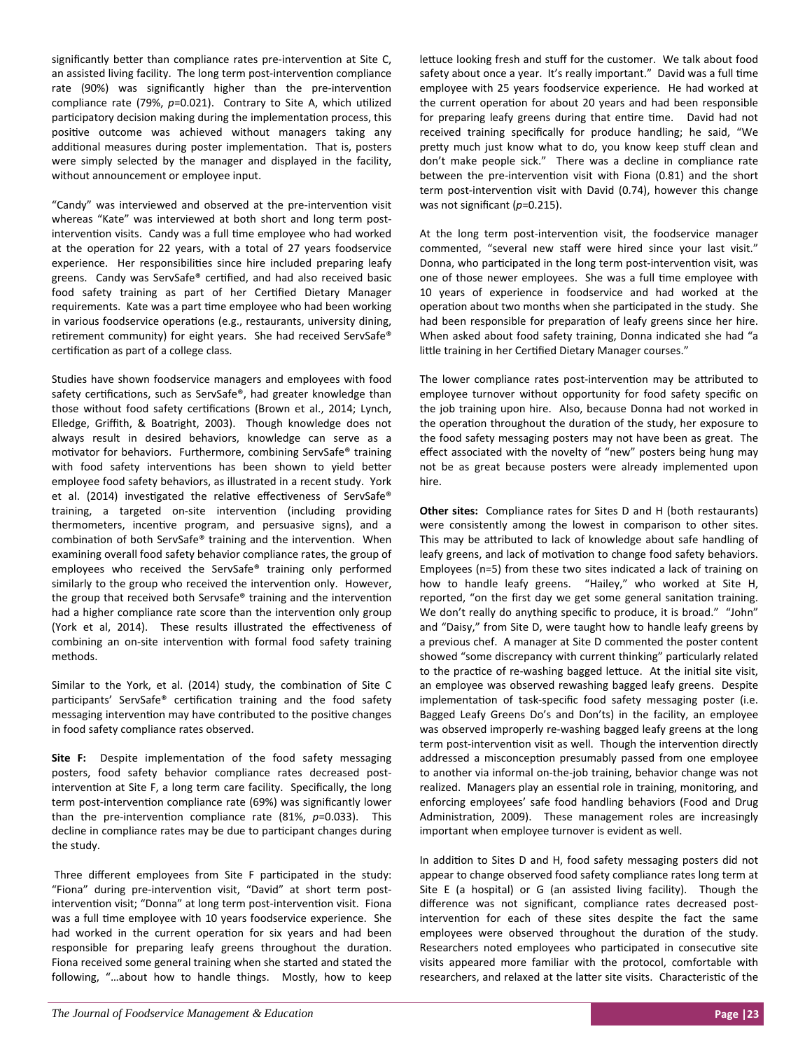significantly better than compliance rates pre-intervention at Site C, an assisted living facility. The long term post-intervention compliance rate (90%) was significantly higher than the pre-intervention compliance rate (79%, p=0.021). Contrary to Site A, which utilized participatory decision making during the implementation process, this positive outcome was achieved without managers taking any additional measures during poster implementation. That is, posters were simply selected by the manager and displayed in the facility, without announcement or employee input.

"Candy" was interviewed and observed at the pre-intervention visit whereas "Kate" was interviewed at both short and long term postintervention visits. Candy was a full time employee who had worked at the operation for 22 years, with a total of 27 years foodservice experience. Her responsibilities since hire included preparing leafy greens. Candy was ServSafe® certified, and had also received basic food safety training as part of her Certified Dietary Manager requirements. Kate was a part time employee who had been working in various foodservice operations (e.g., restaurants, university dining, retirement community) for eight years. She had received ServSafe® certification as part of a college class.

Studies have shown foodservice managers and employees with food safety certifications, such as ServSafe®, had greater knowledge than those without food safety certifications (Brown et al., 2014; Lynch, Elledge, Griffith, & Boatright, 2003). Though knowledge does not always result in desired behaviors, knowledge can serve as a motivator for behaviors. Furthermore, combining ServSafe® training with food safety interventions has been shown to yield better employee food safety behaviors, as illustrated in a recent study. York et al. (2014) investigated the relative effectiveness of ServSafe® training, a targeted on-site intervention (including providing thermometers, incentive program, and persuasive signs), and a combination of both ServSafe® training and the intervention. When examining overall food safety behavior compliance rates, the group of employees who received the ServSafe® training only performed similarly to the group who received the intervention only. However, the group that received both Servsafe® training and the intervention had a higher compliance rate score than the intervention only group (York et al, 2014). These results illustrated the effectiveness of combining an on-site intervention with formal food safety training methods.

Similar to the York, et al. (2014) study, the combination of Site C participants' ServSafe® certification training and the food safety messaging intervention may have contributed to the positive changes in food safety compliance rates observed.

Site F: Despite implementation of the food safety messaging posters, food safety behavior compliance rates decreased post‐ intervention at Site F, a long term care facility. Specifically, the long term post-intervention compliance rate (69%) was significantly lower than the pre-intervention compliance rate (81%, p=0.033). This decline in compliance rates may be due to participant changes during the study.

Three different employees from Site F participated in the study: "Fiona" during pre-intervention visit, "David" at short term postintervention visit; "Donna" at long term post-intervention visit. Fiona was a full time employee with 10 years foodservice experience. She had worked in the current operation for six years and had been responsible for preparing leafy greens throughout the duration. Fiona received some general training when she started and stated the following, "...about how to handle things. Mostly, how to keep

lettuce looking fresh and stuff for the customer. We talk about food safety about once a year. It's really important." David was a full time employee with 25 years foodservice experience. He had worked at the current operation for about 20 years and had been responsible for preparing leafy greens during that entire time. David had not received training specifically for produce handling; he said, "We pretty much just know what to do, you know keep stuff clean and don't make people sick." There was a decline in compliance rate between the pre-intervention visit with Fiona (0.81) and the short term post-intervention visit with David (0.74), however this change was not significant (p=0.215).

At the long term post-intervention visit, the foodservice manager commented, "several new staff were hired since your last visit." Donna, who participated in the long term post-intervention visit, was one of those newer employees. She was a full time employee with 10 years of experience in foodservice and had worked at the operation about two months when she participated in the study. She had been responsible for preparation of leafy greens since her hire. When asked about food safety training, Donna indicated she had "a little training in her Certified Dietary Manager courses."

The lower compliance rates post-intervention may be attributed to employee turnover without opportunity for food safety specific on the job training upon hire. Also, because Donna had not worked in the operation throughout the duration of the study, her exposure to the food safety messaging posters may not have been as great. The effect associated with the novelty of "new" posters being hung may not be as great because posters were already implemented upon hire.

**Other sites:** Compliance rates for Sites D and H (both restaurants) were consistently among the lowest in comparison to other sites. This may be attributed to lack of knowledge about safe handling of leafy greens, and lack of motivation to change food safety behaviors. Employees (n=5) from these two sites indicated a lack of training on how to handle leafy greens. "Hailey," who worked at Site H, reported, "on the first day we get some general sanitation training. We don't really do anything specific to produce, it is broad." "John" and "Daisy," from Site D, were taught how to handle leafy greens by a previous chef. A manager at Site D commented the poster content showed "some discrepancy with current thinking" particularly related to the practice of re-washing bagged lettuce. At the initial site visit, an employee was observed rewashing bagged leafy greens. Despite implementation of task-specific food safety messaging poster (i.e. Bagged Leafy Greens Do's and Don'ts) in the facility, an employee was observed improperly re-washing bagged leafy greens at the long term post-intervention visit as well. Though the intervention directly addressed a misconception presumably passed from one employee to another via informal on‐the‐job training, behavior change was not realized. Managers play an essential role in training, monitoring, and enforcing employees' safe food handling behaviors (Food and Drug Administration, 2009). These management roles are increasingly important when employee turnover is evident as well.

In addition to Sites D and H, food safety messaging posters did not appear to change observed food safety compliance rates long term at Site E (a hospital) or G (an assisted living facility). Though the difference was not significant, compliance rates decreased postintervention for each of these sites despite the fact the same employees were observed throughout the duration of the study. Researchers noted employees who participated in consecutive site visits appeared more familiar with the protocol, comfortable with researchers, and relaxed at the latter site visits. Characteristic of the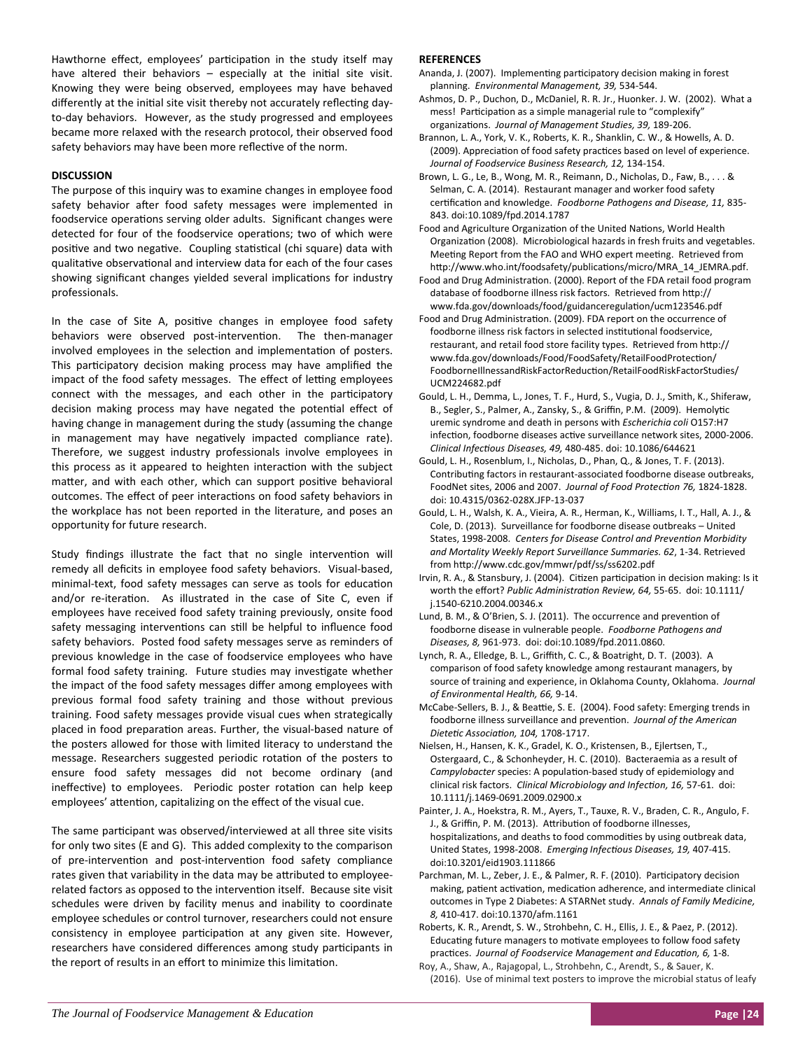Hawthorne effect, employees' participation in the study itself may have altered their behaviors  $-$  especially at the initial site visit. Knowing they were being observed, employees may have behaved differently at the initial site visit thereby not accurately reflecting dayto‐day behaviors. However, as the study progressed and employees became more relaxed with the research protocol, their observed food safety behaviors may have been more reflective of the norm.

# **DISCUSSION**

The purpose of this inquiry was to examine changes in employee food safety behavior after food safety messages were implemented in foodservice operations serving older adults. Significant changes were detected for four of the foodservice operations; two of which were positive and two negative. Coupling statistical (chi square) data with qualitative observational and interview data for each of the four cases showing significant changes yielded several implications for industry professionals.

In the case of Site A, positive changes in employee food safety behaviors were observed post-intervention. The then-manager involved employees in the selection and implementation of posters. This participatory decision making process may have amplified the impact of the food safety messages. The effect of letting employees connect with the messages, and each other in the participatory decision making process may have negated the potential effect of having change in management during the study (assuming the change in management may have negatively impacted compliance rate). Therefore, we suggest industry professionals involve employees in this process as it appeared to heighten interaction with the subject matter, and with each other, which can support positive behavioral outcomes. The effect of peer interactions on food safety behaviors in the workplace has not been reported in the literature, and poses an opportunity for future research.

Study findings illustrate the fact that no single intervention will remedy all deficits in employee food safety behaviors. Visual‐based, minimal-text, food safety messages can serve as tools for education and/or re-iteration. As illustrated in the case of Site C, even if employees have received food safety training previously, onsite food safety messaging interventions can still be helpful to influence food safety behaviors. Posted food safety messages serve as reminders of previous knowledge in the case of foodservice employees who have formal food safety training. Future studies may investigate whether the impact of the food safety messages differ among employees with previous formal food safety training and those without previous training. Food safety messages provide visual cues when strategically placed in food preparation areas. Further, the visual-based nature of the posters allowed for those with limited literacy to understand the message. Researchers suggested periodic rotation of the posters to ensure food safety messages did not become ordinary (and ineffective) to employees. Periodic poster rotation can help keep employees' attention, capitalizing on the effect of the visual cue.

The same participant was observed/interviewed at all three site visits for only two sites (E and G). This added complexity to the comparison of pre-intervention and post-intervention food safety compliance rates given that variability in the data may be attributed to employeerelated factors as opposed to the intervention itself. Because site visit schedules were driven by facility menus and inability to coordinate employee schedules or control turnover, researchers could not ensure consistency in employee participation at any given site. However, researchers have considered differences among study participants in the report of results in an effort to minimize this limitation.

# **REFERENCES**

- Ananda, J. (2007). Implementing participatory decision making in forest planning. *Environmental Management, 39,* 534‐544.
- Ashmos, D. P., Duchon, D., McDaniel, R. R. Jr., Huonker. J. W. (2002). What a mess! Participation as a simple managerial rule to "complexify" organizaƟons. *Journal of Management Studies, 39,* 189‐206.
- Brannon, L. A., York, V. K., Roberts, K. R., Shanklin, C. W., & Howells, A. D. (2009). Appreciation of food safety practices based on level of experience. *Journal of Foodservice Business Research, 12,* 134‐154.
- Brown, L. G., Le, B., Wong, M. R., Reimann, D., Nicholas, D., Faw, B., . . . & Selman, C. A. (2014). Restaurant manager and worker food safety cerƟficaƟon and knowledge. *Foodborne Pathogens and Disease, 11,* 835‐ 843. doi:10.1089/fpd.2014.1787
- Food and Agriculture Organization of the United Nations, World Health Organization (2008). Microbiological hazards in fresh fruits and vegetables. Meeting Report from the FAO and WHO expert meeting. Retrieved from http://www.who.int/foodsafety/publications/micro/MRA\_14\_JEMRA.pdf.
- Food and Drug Administration. (2000). Report of the FDA retail food program database of foodborne illness risk factors. Retrieved from http:// www.fda.gov/downloads/food/guidanceregulation/ucm123546.pdf
- Food and Drug Administration. (2009). FDA report on the occurrence of foodborne illness risk factors in selected institutional foodservice, restaurant, and retail food store facility types. Retrieved from http:// www.fda.gov/downloads/Food/FoodSafety/RetailFoodProtection/ FoodborneIllnessandRiskFactorReducƟon/RetailFoodRiskFactorStudies/ UCM224682.pdf
- Gould, L. H., Demma, L., Jones, T. F., Hurd, S., Vugia, D. J., Smith, K., Shiferaw, B., Segler, S., Palmer, A., Zansky, S., & Griffin, P.M. (2009). Hemolytic uremic syndrome and death in persons with *Escherichia coli* O157:H7 infection, foodborne diseases active surveillance network sites, 2000-2006. *Clinical InfecƟous Diseases, 49,* 480‐485. doi: 10.1086/644621
- Gould, L. H., Rosenblum, I., Nicholas, D., Phan, Q., & Jones, T. F. (2013). Contributing factors in restaurant-associated foodborne disease outbreaks, FoodNet sites, 2006 and 2007. *Journal of Food ProtecƟon 76,* 1824‐1828. doi: 10.4315/0362‐028X.JFP‐13‐037
- Gould, L. H., Walsh, K. A., Vieira, A. R., Herman, K., Williams, I. T., Hall, A. J., & Cole, D. (2013). Surveillance for foodborne disease outbreaks – United States, 1998‐2008. *Centers for Disease Control and PrevenƟon Morbidity and Mortality Weekly Report Surveillance Summaries. 62*, 1‐34. Retrieved from hƩp://www.cdc.gov/mmwr/pdf/ss/ss6202.pdf
- Irvin, R. A., & Stansbury, J. (2004). Citizen participation in decision making: Is it worth the effort? *Public AdministraƟon Review, 64,* 55‐65. doi: 10.1111/ j.1540‐6210.2004.00346.x
- Lund, B. M., & O'Brien, S. J. (2011). The occurrence and prevention of foodborne disease in vulnerable people. *Foodborne Pathogens and Diseases, 8,* 961‐973. doi: doi:10.1089/fpd.2011.0860.
- Lynch, R. A., Elledge, B. L., Griffith, C. C., & Boatright, D. T. (2003). A comparison of food safety knowledge among restaurant managers, by source of training and experience, in Oklahoma County, Oklahoma. *Journal of Environmental Health, 66,* 9‐14.
- McCabe-Sellers, B. J., & Beattie, S. E. (2004). Food safety: Emerging trends in foodborne illness surveillance and prevenƟon. *Journal of the American DieteƟc AssociaƟon, 104,* 1708‐1717.
- Nielsen, H., Hansen, K. K., Gradel, K. O., Kristensen, B., Ejlertsen, T., Ostergaard, C., & Schonheyder, H. C. (2010). Bacteraemia as a result of Campylobacter species: A population-based study of epidemiology and clinical risk factors. *Clinical Microbiology and InfecƟon, 16,* 57‐61. doi: 10.1111/j.1469‐0691.2009.02900.x
- Painter, J. A., Hoekstra, R. M., Ayers, T., Tauxe, R. V., Braden, C. R., Angulo, F. J., & Griffin, P. M. (2013). Attribution of foodborne illnesses, hospitalizations, and deaths to food commodities by using outbreak data, United States, 1998‐2008. *Emerging InfecƟous Diseases, 19,* 407‐415. doi:10.3201/eid1903.111866
- Parchman, M. L., Zeber, J. E., & Palmer, R. F. (2010). Participatory decision making, patient activation, medication adherence, and intermediate clinical outcomes in Type 2 Diabetes: A STARNet study. *Annals of Family Medicine, 8,* 410‐417. doi:10.1370/afm.1161

Roberts, K. R., Arendt, S. W., Strohbehn, C. H., Ellis, J. E., & Paez, P. (2012). Educating future managers to motivate employees to follow food safety pracƟces. *Journal of Foodservice Management and EducaƟon, 6,* 1‐8.

Roy, A., Shaw, A., Rajagopal, L., Strohbehn, C., Arendt, S., & Sauer, K. (2016). Use of minimal text posters to improve the microbial status of leafy